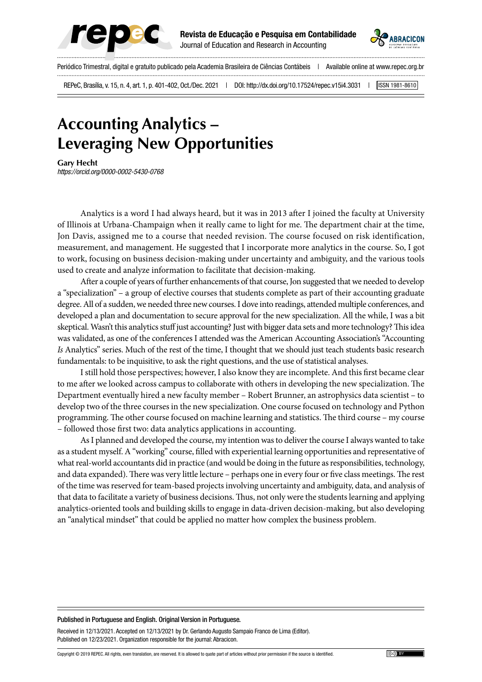



Periódico Trimestral, digital e gratuito publicado pela Academia Brasileira de Ciências Contábeis | Available online at www.repec.org.br

REPeC, Brasília, v. 15, n. 4, art. 1, p. 401-402, Oct./Dec. 2021 | DOI: http://dx.doi.org/10.17524/repec.v15i4.3031 | [ISSN 1981-8610]

## **Accounting Analytics – Leveraging New Opportunities**

**Gary Hecht** *https://orcid.org/0000-0002-5430-0768 | E-mail: e-mail do autor e-mail do autor*

Analytics is a word I had always heard, but it was in 2013 after I joined the faculty at University of Illinois at Urbana-Champaign when it really came to light for me. The department chair at the time, Jon Davis, assigned me to a course that needed revision. The course focused on risk identification, measurement, and management. He suggested that I incorporate more analytics in the course. So, I got to work, focusing on business decision-making under uncertainty and ambiguity, and the various tools used to create and analyze information to facilitate that decision-making.

After a couple of years of further enhancements of that course, Jon suggested that we needed to develop a "specialization" – a group of elective courses that students complete as part of their accounting graduate degree. All of a sudden, we needed three new courses. I dove into readings, attended multiple conferences, and developed a plan and documentation to secure approval for the new specialization. All the while, I was a bit skeptical. Wasn't this analytics stuff just accounting? Just with bigger data sets and more technology? This idea was validated, as one of the conferences I attended was the American Accounting Association's "Accounting *Is* Analytics" series. Much of the rest of the time, I thought that we should just teach students basic research fundamentals: to be inquisitive, to ask the right questions, and the use of statistical analyses.

I still hold those perspectives; however, I also know they are incomplete. And this first became clear to me after we looked across campus to collaborate with others in developing the new specialization. The Department eventually hired a new faculty member – Robert Brunner, an astrophysics data scientist – to develop two of the three courses in the new specialization. One course focused on technology and Python programming. The other course focused on machine learning and statistics. The third course – my course – followed those first two: data analytics applications in accounting.

As I planned and developed the course, my intention was to deliver the course I always wanted to take as a student myself. A "working" course, filled with experiential learning opportunities and representative of what real-world accountants did in practice (and would be doing in the future as responsibilities, technology, and data expanded). There was very little lecture – perhaps one in every four or five class meetings. The rest of the time was reserved for team-based projects involving uncertainty and ambiguity, data, and analysis of that data to facilitate a variety of business decisions. Thus, not only were the students learning and applying analytics-oriented tools and building skills to engage in data-driven decision-making, but also developing an "analytical mindset" that could be applied no matter how complex the business problem.

## Published in Portuguese and English. Original Version in Portuguese.

Received in 12/13/2021. Accepted on 12/13/2021 by Dr. Gerlando Augusto Sampaio Franco de Lima (Editor). Published on 12/23/2021. Organization responsible for the journal: Abracicon.